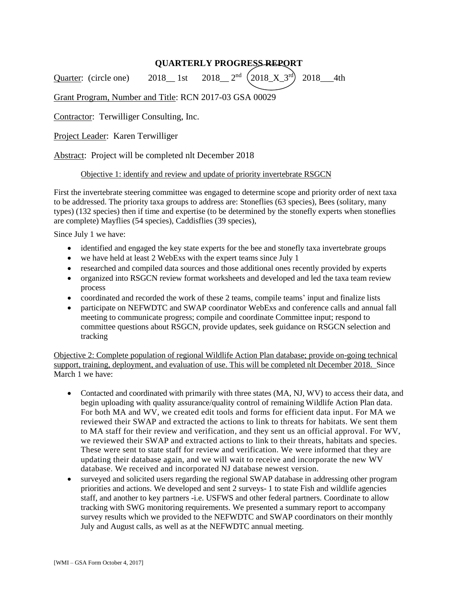# **QUARTERLY PROGRESS REPORT**

Quarter: (circle one)  $2018$  1st 2018  $2^{nd}$   $(2018 \times 3^{rd})$ 2018\_\_\_4th

## Grant Program, Number and Title: RCN 2017-03 GSA 00029

Contractor: Terwilliger Consulting, Inc.

Project Leader: Karen Terwilliger

Abstract: Project will be completed nlt December 2018

#### Objective 1: identify and review and update of priority invertebrate RSGCN

First the invertebrate steering committee was engaged to determine scope and priority order of next taxa to be addressed. The priority taxa groups to address are: Stoneflies (63 species), Bees (solitary, many types) (132 species) then if time and expertise (to be determined by the stonefly experts when stoneflies are complete) Mayflies (54 species), Caddisflies (39 species),

Since July 1 we have:

- identified and engaged the key state experts for the bee and stonefly taxa invertebrate groups
- we have held at least 2 WebExs with the expert teams since July 1
- researched and compiled data sources and those additional ones recently provided by experts
- organized into RSGCN review format worksheets and developed and led the taxa team review process
- coordinated and recorded the work of these 2 teams, compile teams' input and finalize lists
- participate on NEFWDTC and SWAP coordinator WebExs and conference calls and annual fall meeting to communicate progress; compile and coordinate Committee input; respond to committee questions about RSGCN, provide updates, seek guidance on RSGCN selection and tracking

Objective 2: Complete population of regional Wildlife Action Plan database; provide on-going technical support, training, deployment, and evaluation of use. This will be completed nlt December 2018. Since March 1 we have:

- Contacted and coordinated with primarily with three states (MA, NJ, WV) to access their data, and begin uploading with quality assurance/quality control of remaining Wildlife Action Plan data. For both MA and WV, we created edit tools and forms for efficient data input. For MA we reviewed their SWAP and extracted the actions to link to threats for habitats. We sent them to MA staff for their review and verification, and they sent us an official approval. For WV, we reviewed their SWAP and extracted actions to link to their threats, habitats and species. These were sent to state staff for review and verification. We were informed that they are updating their database again, and we will wait to receive and incorporate the new WV database. We received and incorporated NJ database newest version.
- surveyed and solicited users regarding the regional SWAP database in addressing other program priorities and actions. We developed and sent 2 surveys- 1 to state Fish and wildlife agencies staff, and another to key partners -i.e. USFWS and other federal partners. Coordinate to allow tracking with SWG monitoring requirements. We presented a summary report to accompany survey results which we provided to the NEFWDTC and SWAP coordinators on their monthly July and August calls, as well as at the NEFWDTC annual meeting.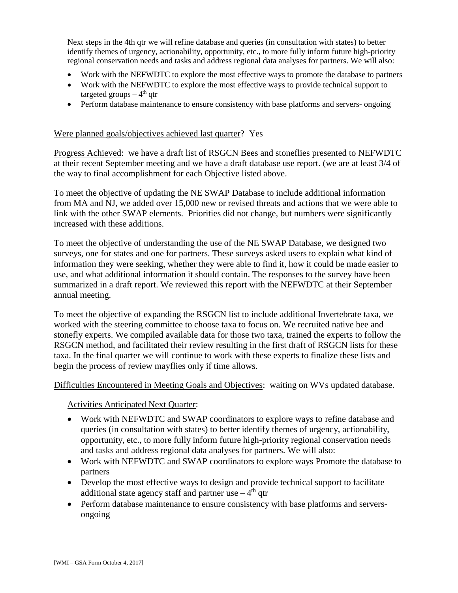Next steps in the 4th qtr we will refine database and queries (in consultation with states) to better identify themes of urgency, actionability, opportunity, etc., to more fully inform future high-priority regional conservation needs and tasks and address regional data analyses for partners. We will also:

- Work with the NEFWDTC to explore the most effective ways to promote the database to partners
- Work with the NEFWDTC to explore the most effective ways to provide technical support to targeted groups – 4<sup>th</sup> qtr
- Perform database maintenance to ensure consistency with base platforms and servers- ongoing

### Were planned goals/objectives achieved last quarter? Yes

Progress Achieved: we have a draft list of RSGCN Bees and stoneflies presented to NEFWDTC at their recent September meeting and we have a draft database use report. (we are at least 3/4 of the way to final accomplishment for each Objective listed above.

To meet the objective of updating the NE SWAP Database to include additional information from MA and NJ, we added over 15,000 new or revised threats and actions that we were able to link with the other SWAP elements. Priorities did not change, but numbers were significantly increased with these additions.

To meet the objective of understanding the use of the NE SWAP Database, we designed two surveys, one for states and one for partners. These surveys asked users to explain what kind of information they were seeking, whether they were able to find it, how it could be made easier to use, and what additional information it should contain. The responses to the survey have been summarized in a draft report. We reviewed this report with the NEFWDTC at their September annual meeting.

To meet the objective of expanding the RSGCN list to include additional Invertebrate taxa, we worked with the steering committee to choose taxa to focus on. We recruited native bee and stonefly experts. We compiled available data for those two taxa, trained the experts to follow the RSGCN method, and facilitated their review resulting in the first draft of RSGCN lists for these taxa. In the final quarter we will continue to work with these experts to finalize these lists and begin the process of review mayflies only if time allows.

Difficulties Encountered in Meeting Goals and Objectives: waiting on WVs updated database.

### Activities Anticipated Next Quarter:

- Work with NEFWDTC and SWAP coordinators to explore ways to refine database and queries (in consultation with states) to better identify themes of urgency, actionability, opportunity, etc., to more fully inform future high-priority regional conservation needs and tasks and address regional data analyses for partners. We will also:
- Work with NEFWDTC and SWAP coordinators to explore ways Promote the database to partners
- Develop the most effective ways to design and provide technical support to facilitate additional state agency staff and partner use  $-4<sup>th</sup>$  qtr
- Perform database maintenance to ensure consistency with base platforms and serversongoing